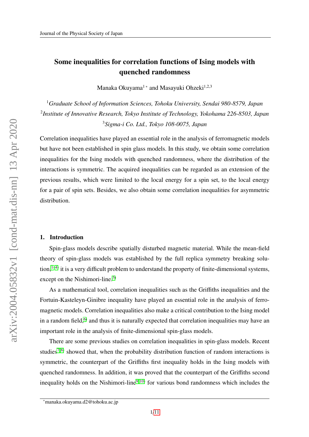# Some inequalities for correlation functions of Ising models with quenched randomness

Manaka Okuyama<sup>1</sup>\* and Masayuki Ohzeki<sup>1,2,3</sup>

<sup>1</sup>*Graduate School of Information Sciences, Tohoku University, Sendai 980-8579, Japan* 2 *Institute of Innovative Research, Tokyo Institute of Technology, Yokohama 226-8503, Japan* <sup>3</sup>*Sigma-i Co. Ltd., Tokyo 108-0075, Japan*

Correlation inequalities have played an essential role in the analysis of ferromagnetic models but have not been established in spin glass models. In this study, we obtain some correlation inequalities for the Ising models with quenched randomness, where the distribution of the interactions is symmetric. The acquired inequalities can be regarded as an extension of the previous results, which were limited to the local energy for a spin set, to the local energy for a pair of spin sets. Besides, we also obtain some correlation inequalities for asymmetric distribution.

## 1. Introduction

Spin-glass models describe spatially disturbed magnetic material. While the mean-field theory of spin-glass models was established by the full replica symmetry breaking solution,  $1-4$ ) it is a very difficult problem to understand the property of finite-dimensional systems, except on the Nishimori-line.<sup>[5\)](#page-10-2)</sup>

As a mathematical tool, correlation inequalities such as the Griffiths inequalities and the Fortuin-Kasteleyn-Ginibre inequality have played an essential role in the analysis of ferromagnetic models. Correlation inequalities also make a critical contribution to the Ising model in a random field, $6$  and thus it is naturally expected that correlation inequalities may have an important role in the analysis of finite-dimensional spin-glass models.

There are some previous studies on correlation inequalities in spin-glass models. Recent studies<sup>[7,](#page-10-4)8)</sup> showed that, when the probability distribution function of random interactions is symmetric, the counterpart of the Griffiths first inequality holds in the Ising models with quenched randomness. In addition, it was proved that the counterpart of the Griffiths second inequality holds on the Nishimori-line<sup>[9,](#page-10-6) [10\)](#page-10-7)</sup> for various bond randomness which includes the

<sup>∗</sup>manaka.okuyama.d2@tohoku.ac.jp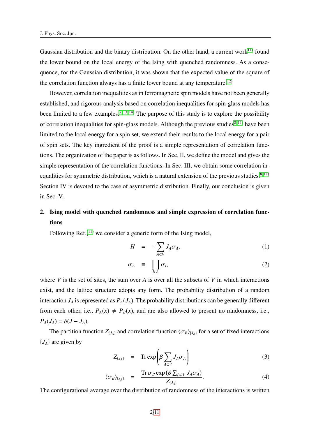Gaussian distribution and the binary distribution. On the other hand, a current work $^{11}$  found the lower bound on the local energy of the Ising with quenched randomness. As a consequence, for the Gaussian distribution, it was shown that the expected value of the square of the correlation function always has a finite lower bound at any temperature.<sup>[12\)](#page-10-9)</sup>

However, correlation inequalities as in ferromagnetic spin models have not been generally established, and rigorous analysis based on correlation inequalities for spin-glass models has been limited to a few examples.<sup>[7,](#page-10-4) [13,](#page-10-10) [14\)](#page-10-11)</sup> The purpose of this study is to explore the possibility of correlation inequalities for spin-glass models. Although the previous studies<sup>[8,](#page-10-5) [11\)](#page-10-8)</sup> have been limited to the local energy for a spin set, we extend their results to the local energy for a pair of spin sets. The key ingredient of the proof is a simple representation of correlation functions. The organization of the paper is as follows. In Sec. II, we define the model and gives the simple representation of the correlation functions. In Sec. III, we obtain some correlation in-equalities for symmetric distribution, which is a natural extension of the previous studies.<sup>[8,](#page-10-5) [11\)](#page-10-8)</sup> Section IV is devoted to the case of asymmetric distribution. Finally, our conclusion is given in Sec. V.

# 2. Ising model with quenched randomness and simple expression of correlation functions

Following Ref., $^{11)}$  $^{11)}$  $^{11)}$  we consider a generic form of the Ising model,

<span id="page-1-0"></span>
$$
H = -\sum_{A \subset V} J_A \sigma_A,\tag{1}
$$

$$
\sigma_A \equiv \prod_{i \in A} \sigma_i, \tag{2}
$$

where  $V$  is the set of sites, the sum over  $A$  is over all the subsets of  $V$  in which interactions exist, and the lattice structure adopts any form. The probability distribution of a random interaction  $J_A$  is represented as  $P_A(J_A)$ . The probability distributions can be generally different from each other, i.e.,  $P_A(x) \neq P_B(x)$ , and are also allowed to present no randomness, i.e.,  $P_A(J_A) = \delta(J - J_A).$ 

The partition function  $Z_{\{J_A\}}$  and correlation function  $\langle \sigma_B \rangle_{\{J_A\}}$  for a set of fixed interactions {*JA*} are given by

$$
Z_{\{J_A\}} = \operatorname{Tr} \exp \left( \beta \sum_{A \subset V} J_A \sigma_A \right) \tag{3}
$$

$$
\langle \sigma_B \rangle_{\{J_A\}} = \frac{\operatorname{Tr} \sigma_B \exp \left( \beta \sum_{A \subset V} J_A \sigma_A \right)}{Z_{\{J_A\}}}.\tag{4}
$$

The configurational average over the distribution of randomness of the interactions is written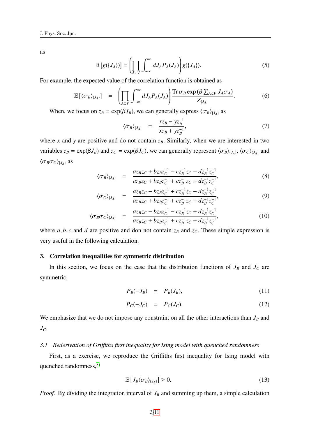as

$$
\mathbb{E}\left[g(\lbrace J_A\rbrace)\right] = \left(\prod_{A \subset V} \int_{-\infty}^{\infty} dJ_A P_A(J_A)\right) g(\lbrace J_A\rbrace). \tag{5}
$$

For example, the expected value of the correlation function is obtained as

$$
\mathbb{E}\left[\langle \sigma_B \rangle_{\{J_A\}}\right] = \left(\prod_{A \subset V} \int_{-\infty}^{\infty} dJ_A P_A(J_A)\right) \frac{\operatorname{Tr} \sigma_B \exp \left(\beta \sum_{A \subset V} J_A \sigma_A\right)}{Z_{\{J_A\}}}.\tag{6}
$$

When, we focus on  $z_B = \exp(\beta J_B)$ , we can generally express  $\langle \sigma_B \rangle_{\{J_A\}}$  as

$$
\langle \sigma_B \rangle_{\{J_A\}} = \frac{x z_B - y z_B^{-1}}{x z_B + y z_B^{-1}},\tag{7}
$$

where *x* and *y* are positive and do not contain  $z_B$ . Similarly, when we are interested in two variables  $z_B = \exp(\beta J_B)$  and  $z_C = \exp(\beta J_C)$ , we can generally represent  $\langle \sigma_B \rangle_{\{J_A\}}, \langle \sigma_C \rangle_{\{J_A\}}$  and  $\langle \sigma_B \sigma_C \rangle_{\{J_A\}}$  as

$$
\langle \sigma_B \rangle_{\{J_A\}} = \frac{az_B z_C + bz_B z_C^{-1} - cz_B^{-1} z_C - dz_B^{-1} z_C^{-1}}{az_B z_C + bz_B z_C^{-1} + cz_B^{-1} z_C + dz_B^{-1} z_C^{-1}},
$$
\n(8)

$$
\langle \sigma_C \rangle_{\{J_A\}} = \frac{az_B z_C - bz_B z_C^{-1} + cz_B^{-1} z_C - dz_B^{-1} z_C^{-1}}{az_B z_C + bz_B z_C^{-1} + cz_B^{-1} z_C + dz_B^{-1} z_C^{-1}},
$$
\n(9)

$$
\langle \sigma_B \sigma_C \rangle_{\{J_A\}} = \frac{az_B z_C - bz_B z_C^{-1} - cz_B^{-1} z_C + dz_B^{-1} z_C^{-1}}{az_B z_C + bz_B z_C^{-1} + cz_B^{-1} z_C + dz_B^{-1} z_C^{-1}},
$$
\n(10)

where  $a, b, c$  and  $d$  are positive and don not contain  $z_B$  and  $z_C$ . These simple expression is very useful in the following calculation.

#### 3. Correlation inequalities for symmetric distribution

In this section, we focus on the case that the distribution functions of  $J_B$  and  $J_C$  are symmetric,

$$
P_B(-J_B) = P_B(J_B), \tag{11}
$$

$$
P_C(-J_C) = P_C(J_C). \tag{12}
$$

We emphasize that we do not impose any constraint on all the other interactions than  $J_B$  and *JC*.

## *3.1 Rederivation of Gri*ffi*ths first inequality for Ising model with quenched randomness*

First, as a exercise, we reproduce the Griffiths first inequality for Ising model with quenched randomness,<sup>[8\)](#page-10-5)</sup>

<span id="page-2-0"></span>
$$
\mathbb{E}\left[J_B\langle\sigma_B\rangle_{\{J_A\}}\right] \ge 0. \tag{13}
$$

*Proof.* By dividing the integration interval of  $J_B$  and summing up them, a simple calculation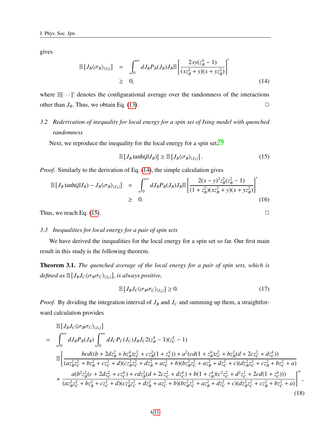gives

<span id="page-3-0"></span>
$$
\mathbb{E}\left[J_B\langle\sigma_B\rangle_{\{J_A\}}\right] = \int_0^\infty dJ_B P_B(J_B) J_B \mathbb{E}\left[\frac{2xy(z_B^4 - 1)}{(xz_B^2 + y)(x + yz_B^2)}\right]'
$$
\n
$$
\geq 0,
$$
\n(14)

where  $\mathbb{E}[\cdots]$ ' denotes the configurational average over the randomness of the interactions other than  $J_B$ . Thus, we obtain Eq. [\(13\)](#page-2-0).

## *3.2 Rederivation of inequality for local energy for a spin set of Ising model with quenched randomness*

Next, we reproduce the inequality for the local energy for a spin set,  $11$ )

<span id="page-3-1"></span>
$$
\mathbb{E}\left[J_B \tanh(\beta J_B)\right] \geq \mathbb{E}\left[J_B \langle \sigma_B \rangle_{\{J_A\}}\right].\tag{15}
$$

*Proof.* Similarly to the derivation of Eq. [\(14\)](#page-3-0), the simple calculation gives

$$
\mathbb{E}\left[J_B \tanh(\beta J_B) - J_B \langle \sigma_B \rangle_{\{J_A\}}\right] = \int_0^\infty dJ_B P_B(J_B) J_B \mathbb{E}\left[\frac{2(x-y)^2 z_B^2 (z_B^2 - 1)}{(1+z_B^2)(xz_B^2 + y)(x + yz_B^2)}\right]' \ge 0.
$$
\n(16)

Thus, we reach Eq. [\(15\)](#page-3-1).  $\Box$ 

## *3.3 Inequalities for local energy for a pair of spin sets*

We have derived the inequalities for the local energy for a spin set so far. Our first main result in this study is the following theorem.

Theorem 3.1. *The quenched average of the local energy for a pair of spin sets, which is*  $\delta$ *defined as*  $\mathbb{E}\left[J_B J_C \langle \sigma_B \sigma_C \rangle_{\{J_A\}}\right]$ *, is always positive,* 

<span id="page-3-2"></span>
$$
\mathbb{E}\left[J_B J_C \langle \sigma_B \sigma_C \rangle_{\{J_A\}}\right] \ge 0. \tag{17}
$$

,

*Proof.* By dividing the integration interval of  $J_B$  and  $J_C$  and summing up them, a straightforward calculation provides

<span id="page-3-3"></span>
$$
\mathbb{E}\left[J_{B}J_{C}\langle\sigma_{B}\sigma_{C}\rangle_{\{J_{A}\}}\right]
$$
\n
$$
=\int_{0}^{\infty} dJ_{B}P_{B}(J_{B}) \int_{0}^{\infty} dJ_{C}P_{C}(J_{C})J_{B}J_{C}2(z_{B}^{4}-1)(z_{C}^{4}-1)
$$
\n
$$
\mathbb{E}\left[\frac{bcd((b+2dz_{B}^{2}+bz_{B}^{4})z_{C}^{2}+cz_{B}^{2}(1+z_{C}^{4}))+a^{2}(cd(1+z_{B}^{4})z_{C}^{2}+bz_{B}^{2}(d+2cz_{C}^{2}+dz_{C}^{4}))}{(az_{B}^{2}z_{C}^{2}+bz_{B}^{2}+cz_{C}^{2}+d)(cz_{B}^{2}z_{C}^{2}+dz_{B}^{2}+az_{C}^{2}+b)(bz_{B}^{2}z_{C}^{2}+az_{B}^{2}+dz_{C}^{2}+c)(dz_{B}^{2}z_{C}^{2}+cz_{B}^{2}+bz_{C}^{2}+a)
$$
\n
$$
+\frac{a(b^{2}z_{B}^{2}(c+2dz_{C}^{2}+cz_{C}^{4})+cdz_{B}^{2}(d+2cz_{C}^{2}+dz_{C}^{4})+b(1+z_{B}^{4})(c^{2}z_{C}^{2}+d^{2}z_{C}^{2}+2cd(1+z_{C}^{4})))}{(az_{B}^{2}z_{C}^{2}+bz_{B}^{2}+cz_{C}^{2}+d)(cz_{B}^{2}z_{C}^{2}+dz_{B}^{2}+az_{C}^{2}+b)(bz_{B}^{2}z_{C}^{2}+az_{B}^{2}+dz_{C}^{2}+c)(dz_{B}^{2}z_{C}^{2}+cz_{B}^{2}+bz_{C}^{2}+a)
$$
\n
$$
\tag{18}
$$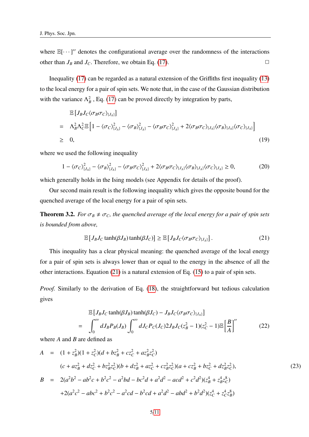where  $\mathbb{E}[\cdots]$ " denotes the configurational average over the randomness of the interactions other than  $J_B$  and  $J_C$ . Therefore, we obtain Eq. [\(17\)](#page-3-2).

Inequality [\(17\)](#page-3-2) can be regarded as a natural extension of the Griffiths first inequality [\(13\)](#page-2-0) to the local energy for a pair of spin sets. We note that, in the case of the Gaussian distribution with the variance  $\Lambda_B^2$ , Eq. [\(17\)](#page-3-2) can be proved directly by integration by parts,

$$
\mathbb{E}\left[J_B J_C \langle \sigma_B \sigma_C \rangle_{\{J_A\}}\right]
$$
\n
$$
= \Lambda_B^2 \Lambda_C^2 \mathbb{E}\left[1 - \langle \sigma_C \rangle_{\{J_A\}}^2 - \langle \sigma_B \rangle_{\{J_A\}}^2 - \langle \sigma_B \sigma_C \rangle_{\{J_A\}}^2 + 2 \langle \sigma_B \sigma_C \rangle_{\{J_A\}} \langle \sigma_B \rangle_{\{J_A\}} \langle \sigma_C \rangle_{\{J_A\}}\right]
$$
\n
$$
\geq 0, \tag{19}
$$

where we used the following inequality

<span id="page-4-1"></span>
$$
1 - \langle \sigma_C \rangle_{\{J_A\}}^2 - \langle \sigma_B \rangle_{\{J_A\}}^2 - \langle \sigma_B \sigma_C \rangle_{\{J_A\}}^2 + 2 \langle \sigma_B \sigma_C \rangle_{\{J_A\}} \langle \sigma_B \rangle_{\{J_A\}} \langle \sigma_C \rangle_{\{J_A\}} \ge 0, \tag{20}
$$

which generally holds in the Ising models (see Appendix for details of the proof).

Our second main result is the following inequality which gives the opposite bound for the quenched average of the local energy for a pair of spin sets.

**Theorem 3.2.** *For*  $\sigma_B \neq \sigma_C$ , the quenched average of the local energy for a pair of spin sets *is bounded from above,*

<span id="page-4-0"></span>
$$
\mathbb{E}\left[J_B J_C \tanh(\beta J_B) \tanh(\beta J_C)\right] \ge \mathbb{E}\left[J_B J_C \langle \sigma_B \sigma_C \rangle_{\{J_A\}}\right].\tag{21}
$$

This inequality has a clear physical meaning: the quenched average of the local energy for a pair of spin sets is always lower than or equal to the energy in the absence of all the other interactions. Equation [\(21\)](#page-4-0) is a natural extension of Eq. [\(15\)](#page-3-1) to a pair of spin sets.

*Proof.* Similarly to the derivation of Eq. [\(18\)](#page-3-3), the straightforward but tedious calculation gives

$$
\mathbb{E}\left[J_B J_C \tanh(\beta J_B) \tanh(\beta J_C) - J_B J_C \langle \sigma_B \sigma_C \rangle_{\{J_A\}}\right]
$$
\n
$$
= \int_0^\infty dJ_B P_B(J_B) \int_0^\infty dJ_C P_C(J_C) 2J_B J_C(z_B^2 - 1)(z_C^2 - 1) \mathbb{E}\left[\frac{B}{A}\right]'' \tag{22}
$$

where *A* and *B* are defined as

$$
A = (1 + z_B^2)(1 + z_C^2)(d + bz_B^2 + cz_C^2 + az_B^2 z_C^2)
$$
  
\n
$$
(c + az_B^2 + dz_C^2 + bz_Bz_C^2)(b + dz_B^2 + az_C^2 + cz_Bz_C^2)(a + cz_B^2 + bz_C^2 + dz_Bz_C^2),
$$
  
\n
$$
B = 2(a^2b^2 - ab^2c + b^2c^2 - a^2bd - bc^2d + a^2d^2 - acd^2 + c^2d^2)(z_B^4 + z_B^4z_C^8)
$$
  
\n
$$
+2(a^2c^2 - abc^2 + b^2c^2 - a^2cd - b^2cd + a^2d^2 - abd^2 + b^2d^2)(z_C^4 + z_C^4z_B^8)
$$
  
\n(23)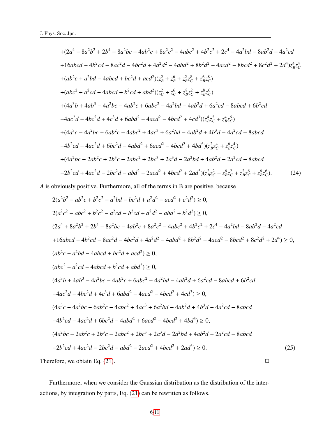$$
+ (2a4 + 8a2b2 + 2b4 - 8a2bc - 4ab2c + 8a2c2 - 4abc2 + 4b2c2 + 2c4 - 4a2bd - 8ab2d - 4a2cd
$$
  
+16abcd - 4b<sup>2</sup>cd - 8ac<sup>2</sup>d - 4bc<sup>2</sup>d + 4a<sup>2</sup>d<sup>2</sup> - 4abd<sup>2</sup> + 8b<sup>2</sup>d<sup>2</sup> - 4acd<sup>2</sup> - 8bcd<sup>2</sup> + 8c<sup>2</sup>d<sup>2</sup> + 2d<sup>4</sup>)z<sub>B</sub><sup>4</sup>z<sub>C</sub><sup>4</sup>  
+ (ab<sup>2</sup>c + a<sup>2</sup>bd - 4abcd + bc<sup>2</sup>d + acd<sup>2</sup>)(z<sub>B</sub><sup>2</sup> + z<sub>B</sub><sup>6</sup> + z<sub>B</sub><sup>8</sup>z<sub>C</sub><sup>8</sup> + z<sub>B</sub><sup>8</sup>z<sub>C</sub><sup>8</sup>)  
+ (abc<sup>2</sup> + a<sup>2</sup>cd - 4abcd + b<sup>2</sup>cd + abd<sup>2</sup>)(z<sub>C</sub><sup>2</sup> + z<sub>C</sub><sup>6</sup> + z<sub>B</sub><sup>8</sup>z<sub>C</sub><sup>2</sup> + z<sub>B</sub><sup>8</sup>z<sub>C</sub><sup>6</sup>)  
+ (4a<sup>3</sup>b + 4ab<sup>3</sup> - 4a<sup>2</sup>bc - 4ab<sup>2</sup>c + 6abc<sup>2</sup> - 4a<sup>2</sup>bd - 4ab<sup>2</sup>d + 6a<sup>2</sup>cd - 8abcd + 6b<sup>2</sup>cd  
- 4ac<sup>2</sup>d - 4bc<sup>2</sup>d + 4c<sup>3</sup>d + 6abd<sup>2</sup> - 4acd<sup>2</sup> - 4bcd<sup>2</sup> + 4cd

*A* is obviously positive. Furthermore, all of the terms in B are positive, because

$$
2(a^{2}b^{2} - ab^{2}c + b^{2}c^{2} - a^{2}bd - bc^{2}d + a^{2}d^{2} - acd^{2} + c^{2}d^{2}) \ge 0,
$$
  
\n
$$
2(a^{2}c^{2} - abc^{2} + b^{2}c^{2} - a^{2}cd - b^{2}cd + a^{2}d^{2} - abd^{2} + b^{2}d^{2}) \ge 0,
$$
  
\n
$$
(2a^{4} + 8a^{2}b^{2} + 2b^{4} - 8a^{2}bc - 4ab^{2}c + 8a^{2}c^{2} - 4abc^{2} + 4b^{2}c^{2} + 2c^{4} - 4a^{2}bd - 8ab^{2}d - 4a^{2}cd
$$
  
\n
$$
+ 16abcd - 4b^{2}cd - 8ac^{2}d - 4bc^{2}d + 4a^{2}d^{2} - 4abd^{2} + 8b^{2}d^{2} - 4acd^{2} - 8bcd^{2} + 8c^{2}d^{2} + 2d^{4}) \ge 0,
$$
  
\n
$$
(ab^{2} + a^{2}bd - 4abcd + bc^{2}d + acd^{2}) \ge 0,
$$
  
\n
$$
(abc^{2} + a^{2}cd - 4abcd + b^{2}cd + abd^{2}) \ge 0,
$$
  
\n
$$
(4a^{3}b + 4ab^{3} - 4a^{2}bc - 4ab^{2}c + 6abc^{2} - 4a^{2}bd - 4ab^{2}d + 6a^{2}cd - 8abcd + 6b^{2}cd
$$
  
\n
$$
-4ac^{2}d - 4bc^{2}d + 4c^{3}d + 6abd^{2} - 4acd^{2} - 4bcd^{2} + 4cd^{3}) \ge 0,
$$
  
\n
$$
(4a^{3}c - 4a^{2}bc + 6ab^{2}c - 4abc^{2} + 4ac^{3} + 6a^{2}bd - 4ab^{2}d + 4b^{3}d - 4a^{2}cd - 8abcd
$$
  
\n
$$
-4b^{2}cd - 4ac^{2}d + 6bc^{2}d - 4abd^{2} + 6acd^{2} - 4bcd^{2} + 4bd^{3}) \ge 0,
$$
  
\n
$$
(4a^{2
$$

Furthermore, when we consider the Gaussian distribution as the distribution of the interactions, by integration by parts, Eq. [\(21\)](#page-4-0) can be rewritten as follows.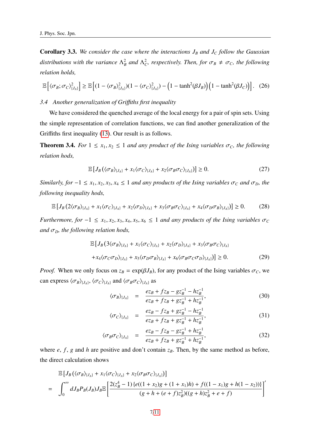Corollary 3.3. *We consider the case where the interactions J<sup>B</sup> and J<sup>C</sup> follow the Gaussian distributions with the variance*  $\Lambda_B^2$  and  $\Lambda_C^2$ , respectively. Then, for  $\sigma_B \neq \sigma_C$ , the following *relation holds,*

$$
\mathbb{E}\left[\left\langle \sigma_B; \sigma_C \right\rangle_{\{J_A\}}^2\right] \ge \mathbb{E}\left[(1-\left\langle \sigma_B \right\rangle_{\{J_A\}}^2)(1-\left\langle \sigma_C \right\rangle_{\{J_A\}}^2) - \left(1-\tanh^2(\beta J_B)\right)\left(1-\tanh^2(\beta J_C)\right)\right]. \tag{26}
$$

## *3.4 Another generalization of Gri*ffi*ths first inequality*

We have considered the quenched average of the local energy for a pair of spin sets. Using the simple representation of correlation functions, we can find another generalization of the Griffiths first inequality [\(13\)](#page-2-0). Our result is as follows.

**Theorem 3.4.** *For*  $1 \le x_1, x_2 \le 1$  *and any product of the Ising variables*  $\sigma_c$ *, the following relation hods,*

<span id="page-6-0"></span>
$$
\mathbb{E}\left[J_B\left(\langle\sigma_B\rangle_{\{J_A\}}+x_1\langle\sigma_C\rangle_{\{J_A\}}+x_2\langle\sigma_B\sigma_C\rangle_{\{J_A\}}\right)\right]\geq 0.\tag{27}
$$

*Similarly, for*  $-1 \le x_1, x_2, x_3, x_4 \le 1$  *and any products of the Ising variables*  $\sigma_C$  *and*  $\sigma_D$ *, the following inequality hods,*

$$
\mathbb{E}\left[J_B\left(2\langle\sigma_B\rangle_{\{J_A\}}+x_1\langle\sigma_C\rangle_{\{J_A\}}+x_2\langle\sigma_D\rangle_{\{J_A\}}+x_3\langle\sigma_B\sigma_C\rangle_{\{J_A\}}+x_4\langle\sigma_D\sigma_B\rangle_{\{J_A\}}\right)\right]\geq 0. \tag{28}
$$

*Furthermore, for*  $-1 \le x_1, x_2, x_3, x_4, x_5, x_6 \le 1$  *and any products of the Ising variables*  $\sigma_C$ *and*  $\sigma$ <sub>*D</sub>*, *the following relation hods*,</sub>

$$
\mathbb{E}\left[J_B\left(3\langle\sigma_B\rangle_{\{J_A\}}+x_1\langle\sigma_C\rangle_{\{J_A\}}+x_2\langle\sigma_D\rangle_{\{J_A\}}+x_3\langle\sigma_B\sigma_C\rangle_{\{J_A\}}\right.\right.\left.+x_4\langle\sigma_C\sigma_D\rangle_{\{J_A\}}+x_5\langle\sigma_D\sigma_B\rangle_{\{J_A\}}+x_6\langle\sigma_B\sigma_C\sigma_D\rangle_{\{J_A\}}\right)\right]\geq 0.
$$
\n(29)

*Proof.* When we only focus on  $z_B = \exp(\beta J_B)$ , for any product of the Ising variables  $\sigma_C$ , we can express  $\langle \sigma_B \rangle_{\{J_A\}}, \langle \sigma_C \rangle_{\{J_A\}}$  and  $\langle \sigma_B \sigma_C \rangle_{\{J_A\}}$  as

$$
\langle \sigma_B \rangle_{\{J_A\}} = \frac{ez_B + fz_B - gz_B^{-1} - hz_B^{-1}}{ez_B + fz_B + gz_B^{-1} + hz_B^{-1}},\tag{30}
$$

$$
\langle \sigma_C \rangle_{\{J_A\}} = \frac{ez_B - fz_B + gz_B^{-1} - hz_B^{-1}}{ez_B + fz_B + gz_B^{-1} + hz_B^{-1}},\tag{31}
$$

$$
\langle \sigma_B \sigma_C \rangle_{\{J_A\}} = \frac{ez_B - fz_B - gz_B^{-1} + hz_B^{-1}}{ez_B + fz_B + gz_B^{-1} + hz_B^{-1}},
$$
\n(32)

where  $e$ ,  $f$ ,  $g$  and  $h$  are positive and don't contain  $z_B$ . Then, by the same method as before, the direct calculation shows

$$
\mathbb{E}\left[J_B\left(\langle\sigma_B\rangle_{\{J_A\}}+x_1\langle\sigma_C\rangle_{\{J_A\}}+x_2\langle\sigma_B\sigma_C\rangle_{\{J_A\}}\right)\right]
$$
\n
$$
=\int_0^\infty dJ_B P_B(J_B) J_B \mathbb{E}\left[\frac{2(z_B^4-1)\left\{e((1+x_2)g+(1+x_1)h)+f((1-x_1)g+h(1-x_2))\right\}}{(g+h+(e+f)z_B^2)((g+h)z_B^2+e+f)}\right]'
$$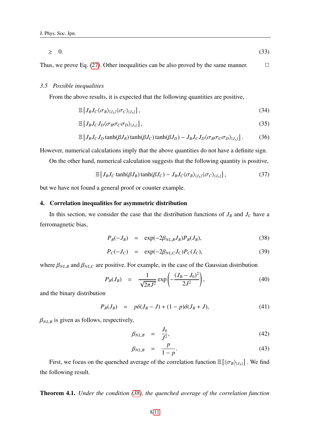$$
\geq 0. \tag{33}
$$

Thus, we prove Eq. [\(27\)](#page-6-0). Other inequalities can be also proved by the same manner.  $\Box$ 

## *3.5 Possible inequalities*

From the above results, it is expected that the following quantities are positive,

<span id="page-7-1"></span>
$$
\mathbb{E}\left[J_B J_C \langle \sigma_B \rangle_{\{J_A\}} \langle \sigma_C \rangle_{\{J_A\}}\right],\tag{34}
$$

$$
\mathbb{E}\left[J_B J_C J_D \langle \sigma_B \sigma_C \sigma_D \rangle_{\{J_A\}}\right],\tag{35}
$$

$$
\mathbb{E}\left[J_B J_C J_D \tanh(\beta J_B) \tanh(\beta J_C) \tanh(\beta J_D) - J_B J_C J_D \langle \sigma_B \sigma_C \sigma_D \rangle_{\{J_A\}}\right].\tag{36}
$$

However, numerical calculations imply that the above quantities do not have a definite sign.

On the other hand, numerical calculation suggests that the following quantity is positive,

$$
\mathbb{E}\left[J_B J_C \tanh(\beta J_B) \tanh(\beta J_C) - J_B J_C \langle \sigma_B \rangle_{\{J_A\}} \langle \sigma_C \rangle_{\{J_A\}}\right],\tag{37}
$$

but we have not found a general proof or counter example.

### 4. Correlation inequalities for asymmetric distribution

In this section, we consider the case that the distribution functions of  $J_B$  and  $J_C$  have a ferromagnetic bias,

<span id="page-7-0"></span>
$$
P_B(-J_B) = \exp(-2\beta_{NL,B}J_B)P_B(J_B), \qquad (38)
$$

$$
P_C(-J_C) = \exp(-2\beta_{NL,C}J_C)P_C(J_C), \qquad (39)
$$

where  $\beta_{NL,B}$  and  $\beta_{NL,C}$  are positive. For example, in the case of the Gaussian distribution

$$
P_B(J_B) = \frac{1}{\sqrt{2\pi J^2}} \exp\left(-\frac{(J_B - J_0)^2}{2J^2}\right),\tag{40}
$$

and the binary distribution

$$
P_B(J_B) = p\delta(J_B - J) + (1 - p)\delta(J_B + J), \tag{41}
$$

 $\beta_{NL,B}$  is given as follows, respectively,

$$
\beta_{NL,B} = \frac{J_0}{J^2},\tag{42}
$$

$$
\beta_{NL,B} = \frac{p}{1-p}.\tag{43}
$$

First, we focus on the quenched average of the correlation function  $\mathbb{E} \left[ \langle \sigma_B \rangle_{\{J_A\}} \right]$ . We find the following result.

Theorem 4.1. *Under the condition [\(38\)](#page-7-0), the quenched average of the correlation function*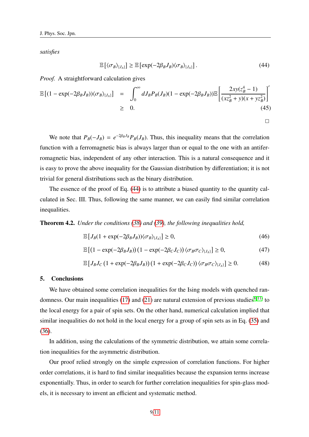*satisfies*

<span id="page-8-0"></span>
$$
\mathbb{E}\left[\langle \sigma_B \rangle_{\{J_A\}}\right] \ge \mathbb{E}\left[\exp(-2\beta_B J_B) \langle \sigma_B \rangle_{\{J_A\}}\right].\tag{44}
$$

*Proof.* A straightforward calculation gives

$$
\mathbb{E}\left[ (1 - \exp(-2\beta_B J_B)) \langle \sigma_B \rangle_{\{J_A\}} \right] = \int_0^\infty dJ_B P_B(J_B)(1 - \exp(-2\beta_B J_B)) \mathbb{E}\left[ \frac{2xy(z_B^4 - 1)}{(xz_B^2 + y)(x + yz_B^2)} \right]' \ge 0.
$$
\n(45)

We note that  $P_B(-J_B) = e^{-2\beta_B J_B} P_B(J_B)$ . Thus, this inequality means that the correlation function with a ferromagnetic bias is always larger than or equal to the one with an antiferromagnetic bias, independent of any other interaction. This is a natural consequence and it is easy to prove the above inequality for the Gaussian distribution by differentiation; it is not trivial for general distributions such as the binary distribution.

The essence of the proof of Eq. [\(44\)](#page-8-0) is to attribute a biased quantity to the quantity calculated in Sec. III. Thus, following the same manner, we can easily find similar correlation inequalities.

Theorem 4.2. *Under the conditions [\(38\)](#page-7-0) and [\(39\)](#page-7-0), the following inequalities hold,*

$$
\mathbb{E}\left[J_B(1+\exp(-2\beta_B J_B))\langle\sigma_B\rangle_{\{J_A\}}\right] \ge 0,\tag{46}
$$

$$
\mathbb{E}\left[\left(1-\exp(-2\beta_B J_B)\right)\left(1-\exp(-2\beta_C J_C)\right)\langle\sigma_B \sigma_C\rangle_{\{J_A\}}\right] \ge 0,\tag{47}
$$

$$
\mathbb{E}\left[J_B J_C \left(1 + \exp(-2\beta_B J_B)\right)\left(1 + \exp(-2\beta_C J_C)\right) \langle \sigma_B \sigma_C \rangle_{\{J_A\}}\right] \ge 0. \tag{48}
$$

## 5. Conclusions

We have obtained some correlation inequalities for the Ising models with quenched ran-domness. Our main inequalities [\(17\)](#page-3-2) and [\(21\)](#page-4-0) are natural extension of previous studies<sup>[8,](#page-10-5) 11</sup> to the local energy for a pair of spin sets. On the other hand, numerical calculation implied that similar inequalities do not hold in the local energy for a group of spin sets as in Eq. [\(35\)](#page-7-1) and [\(36\)](#page-7-1).

In addition, using the calculations of the symmetric distribution, we attain some correlation inequalities for the asymmetric distribution.

Our proof relied strongly on the simple expression of correlation functions. For higher order correlations, it is hard to find similar inequalities because the expansion terms increase exponentially. Thus, in order to search for further correlation inequalities for spin-glass models, it is necessary to invent an efficient and systematic method.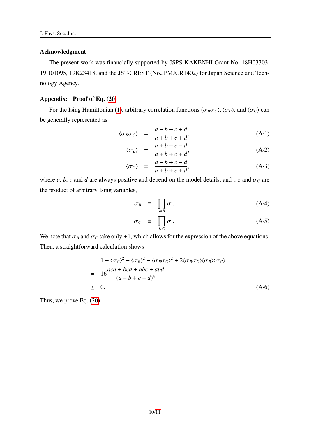## Acknowledgment

The present work was financially supported by JSPS KAKENHI Grant No. 18H03303, 19H01095, 19K23418, and the JST-CREST (No.JPMJCR1402) for Japan Science and Technology Agency.

## Appendix: Proof of Eq. [\(20\)](#page-4-1)

For the Ising Hamiltonian [\(1\)](#page-1-0), arbitrary correlation functions  $\langle \sigma_B \sigma_C \rangle$ ,  $\langle \sigma_B \rangle$ , and  $\langle \sigma_C \rangle$  can be generally represented as

$$
\langle \sigma_B \sigma_C \rangle = \frac{a - b - c + d}{a + b + c + d}, \tag{A-1}
$$

$$
\langle \sigma_B \rangle = \frac{a+b-c-d}{a+b+c+d}, \tag{A-2}
$$

$$
\langle \sigma_C \rangle = \frac{a - b + c - d}{a + b + c + d}, \tag{A-3}
$$

where *a*, *b*, *c* and *d* are always positive and depend on the model details, and  $\sigma_B$  and  $\sigma_C$  are the product of arbitrary Ising variables,

$$
\sigma_B \equiv \prod_{i \in B} \sigma_i, \tag{A-4}
$$

$$
\sigma_C \equiv \prod_{i \in C} \sigma_i. \tag{A-5}
$$

We note that  $\sigma_B$  and  $\sigma_C$  take only  $\pm 1$ , which allows for the expression of the above equations. Then, a straightforward calculation shows

<span id="page-9-0"></span>
$$
1 - \langle \sigma_C \rangle^2 - \langle \sigma_B \rangle^2 - \langle \sigma_B \sigma_C \rangle^2 + 2 \langle \sigma_B \sigma_C \rangle \langle \sigma_B \rangle \langle \sigma_C \rangle
$$
  
= 
$$
16 \frac{acd + bcd + abc + abd}{(a+b+c+d)^3}
$$
  
\$\geq\$ 0. (A-6)

Thus, we prove Eq. [\(20\)](#page-4-1)